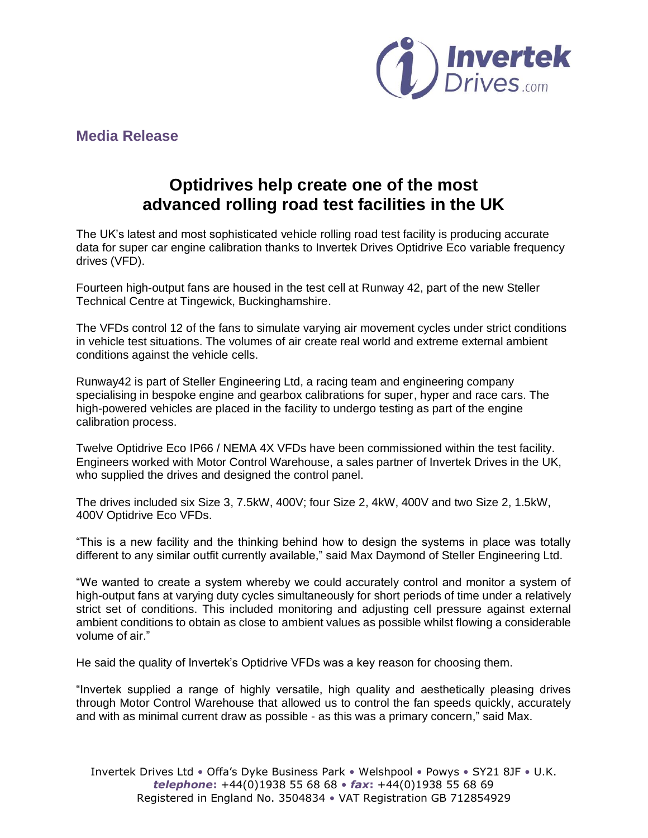

## **Media Release**

# **Optidrives help create one of the most advanced rolling road test facilities in the UK**

The UK's latest and most sophisticated vehicle rolling road test facility is producing accurate data for super car engine calibration thanks to Invertek Drives Optidrive Eco variable frequency drives (VFD).

Fourteen high-output fans are housed in the test cell at Runway 42, part of the new Steller Technical Centre at Tingewick, Buckinghamshire.

The VFDs control 12 of the fans to simulate varying air movement cycles under strict conditions in vehicle test situations. The volumes of air create real world and extreme external ambient conditions against the vehicle cells.

Runway42 is part of Steller Engineering Ltd, a racing team and engineering company specialising in bespoke engine and gearbox calibrations for super, hyper and race cars. The high-powered vehicles are placed in the facility to undergo testing as part of the engine calibration process.

Twelve Optidrive Eco IP66 / NEMA 4X VFDs have been commissioned within the test facility. Engineers worked with Motor Control Warehouse, a sales partner of Invertek Drives in the UK, who supplied the drives and designed the control panel.

The drives included six Size 3, 7.5kW, 400V; four Size 2, 4kW, 400V and two Size 2, 1.5kW, 400V Optidrive Eco VFDs.

"This is a new facility and the thinking behind how to design the systems in place was totally different to any similar outfit currently available," said Max Daymond of Steller Engineering Ltd.

"We wanted to create a system whereby we could accurately control and monitor a system of high-output fans at varying duty cycles simultaneously for short periods of time under a relatively strict set of conditions. This included monitoring and adjusting cell pressure against external ambient conditions to obtain as close to ambient values as possible whilst flowing a considerable volume of air."

He said the quality of Invertek's Optidrive VFDs was a key reason for choosing them.

"Invertek supplied a range of highly versatile, high quality and aesthetically pleasing drives through Motor Control Warehouse that allowed us to control the fan speeds quickly, accurately and with as minimal current draw as possible - as this was a primary concern," said Max.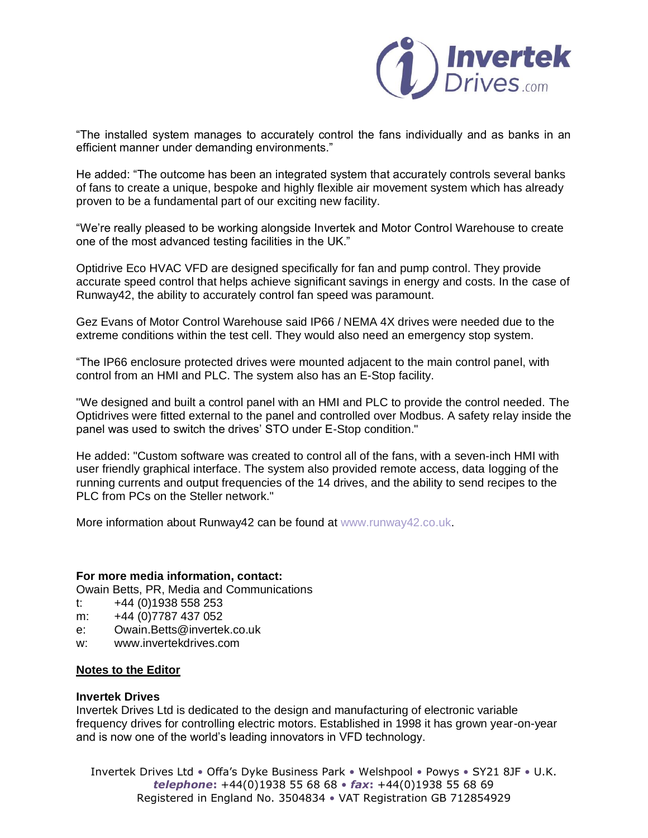

"The installed system manages to accurately control the fans individually and as banks in an efficient manner under demanding environments."

He added: "The outcome has been an integrated system that accurately controls several banks of fans to create a unique, bespoke and highly flexible air movement system which has already proven to be a fundamental part of our exciting new facility.

"We're really pleased to be working alongside Invertek and Motor Control Warehouse to create one of the most advanced testing facilities in the UK."

Optidrive Eco HVAC VFD are designed specifically for fan and pump control. They provide accurate speed control that helps achieve significant savings in energy and costs. In the case of Runway42, the ability to accurately control fan speed was paramount.

Gez Evans of Motor Control Warehouse said IP66 / NEMA 4X drives were needed due to the extreme conditions within the test cell. They would also need an emergency stop system.

"The IP66 enclosure protected drives were mounted adjacent to the main control panel, with control from an HMI and PLC. The system also has an E-Stop facility.

"We designed and built a control panel with an HMI and PLC to provide the control needed. The Optidrives were fitted external to the panel and controlled over Modbus. A safety relay inside the panel was used to switch the drives' STO under E-Stop condition."

He added: "Custom software was created to control all of the fans, with a seven-inch HMI with user friendly graphical interface. The system also provided remote access, data logging of the running currents and output frequencies of the 14 drives, and the ability to send recipes to the PLC from PCs on the Steller network."

More information about Runway42 can be found at [www.runway42.co.uk.](http://www.runway42.co.uk/)

### **For more media information, contact:**

Owain Betts, PR, Media and Communications

- t:  $+44(0)1938558253$
- m: +44 (0)7787 437 052
- e: Owain.Betts@invertek.co.uk
- w: www.invertekdrives.com

### **Notes to the Editor**

#### **Invertek Drives**

Invertek Drives Ltd is dedicated to the design and manufacturing of electronic variable frequency drives for controlling electric motors. Established in 1998 it has grown year-on-year and is now one of the world's leading innovators in VFD technology.

Invertek Drives Ltd • Offa's Dyke Business Park • Welshpool • Powys • SY21 8JF • U.K. *telephone***:** +44(0)1938 55 68 68 • *fax***:** +44(0)1938 55 68 69 Registered in England No. 3504834 • VAT Registration GB 712854929